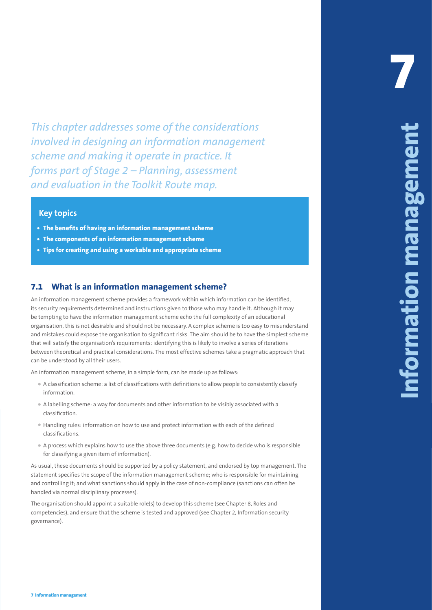*This chapter addresses some of the considerations involved in designing an information management scheme and making it operate in practice. It forms part of Stage 2 – Planning, assessment and evaluation in the Toolkit Route map.*

## **Key topics**

- **• The benefits of having an information management scheme**
- **• The components of an information management scheme**
- **• Tips for creating and using a workable and appropriate scheme**

## **7.1 What is an information management scheme?**

**7 Information management 45 7 Information management** An information management scheme provides a framework within which information can be identified, its security requirements determined and instructions given to those who may handle it. Although it may be tempting to have the information management scheme echo the full complexity of an educational organisation, this is not desirable and should not be necessary. A complex scheme is too easy to misunderstand and mistakes could expose the organisation to significant risks. The aim should be to have the simplest scheme that will satisfy the organisation's requirements: identifying this is likely to involve a series of iterations between theoretical and practical considerations. The most effective schemes take a pragmatic approach that can be understood by all their users.

An information management scheme, in a simple form, can be made up as follows:

- A classification scheme: a list of classifications with definitions to allow people to consistently classify information.
- A labelling scheme: a way for documents and other information to be visibly associated with a classification.
- Handling rules: information on how to use and protect information with each of the defined classifications.
- A process which explains how to use the above three documents (e.g. how to decide who is responsible for classifying a given item of information).

As usual, these documents should be supported by a policy statement, and endorsed by top management. The statement specifies the scope of the information management scheme; who is responsible for maintaining and controlling it; and what sanctions should apply in the case of non-compliance (sanctions can often be handled via normal disciplinary processes).

The organisation should appoint a suitable role(s) to develop this scheme (see Chapter 8, Roles and competencies), and ensure that the scheme is tested and approved (see Chapter 2, Information security governance).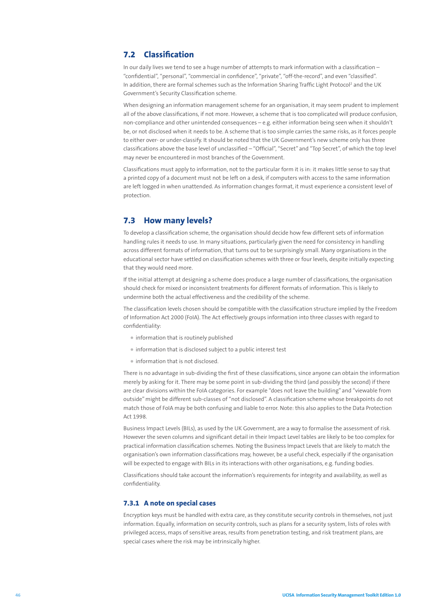# **7.2 Classification**

In our daily lives we tend to see a huge number of attempts to mark information with a classification – "confidential", "personal", "commercial in confidence", "private", "off-the-record", and even "classified". In addition, there are formal schemes such as the Information Sharing Traffic Light Protocol<sup>2</sup> and the UK Government's Security Classification scheme.

When designing an information management scheme for an organisation, it may seem prudent to implement all of the above classifications, if not more. However, a scheme that is too complicated will produce confusion, non-compliance and other unintended consequences – e.g. either information being seen when it shouldn't be, or not disclosed when it needs to be. A scheme that is too simple carries the same risks, as it forces people to either over- or under-classify. It should be noted that the UK Government's new scheme only has three classifications above the base level of unclassified – "Official", "Secret" and "Top Secret", of which the top level may never be encountered in most branches of the Government.

Classifications must apply to information, not to the particular form it is in: it makes little sense to say that a printed copy of a document must not be left on a desk, if computers with access to the same information are left logged in when unattended. As information changes format, it must experience a consistent level of protection.

# **7.3 How many levels?**

To develop a classification scheme, the organisation should decide how few different sets of information handling rules it needs to use. In many situations, particularly given the need for consistency in handling across different formats of information, that turns out to be surprisingly small. Many organisations in the educational sector have settled on classification schemes with three or four levels, despite initially expecting that they would need more.

If the initial attempt at designing a scheme does produce a large number of classifications, the organisation should check for mixed or inconsistent treatments for different formats of information. This is likely to undermine both the actual effectiveness and the credibility of the scheme.

The classification levels chosen should be compatible with the classification structure implied by the Freedom of Information Act 2000 (FoIA). The Act effectively groups information into three classes with regard to confidentiality:

- information that is routinely published
- information that is disclosed subject to a public interest test
- information that is not disclosed.

There is no advantage in sub-dividing the first of these classifications, since anyone can obtain the information merely by asking for it. There may be some point in sub-dividing the third (and possibly the second) if there are clear divisions within the FoIA categories. For example "does not leave the building" and "viewable from outside" might be different sub-classes of "not disclosed". A classification scheme whose breakpoints do not match those of FoIA may be both confusing and liable to error. Note: this also applies to the Data Protection Act 1998.

Business Impact Levels (BILs), as used by the UK Government, are a way to formalise the assessment of risk. However the seven columns and significant detail in their Impact Level tables are likely to be too complex for practical information classification schemes. Noting the Business Impact Levels that are likely to match the organisation's own information classifications may, however, be a useful check, especially if the organisation will be expected to engage with BILs in its interactions with other organisations, e.g. funding bodies.

Classifications should take account the information's requirements for integrity and availability, as well as confidentiality.

### **7.3.1 A note on special cases**

Encryption keys must be handled with extra care, as they constitute security controls in themselves, not just information. Equally, information on security controls, such as plans for a security system, lists of roles with privileged access, maps of sensitive areas, results from penetration testing, and risk treatment plans, are special cases where the risk may be intrinsically higher.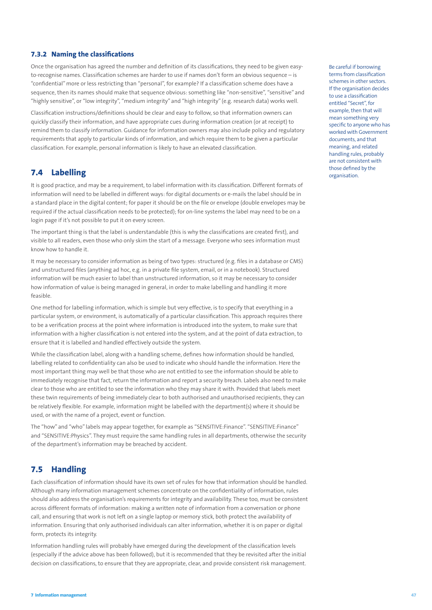### **7.3.2 Naming the classifications**

Once the organisation has agreed the number and definition of its classifications, they need to be given easyto-recognise names. Classification schemes are harder to use if names don't form an obvious sequence – is "confidential" more or less restricting than "personal", for example? If a classification scheme does have a sequence, then its names should make that sequence obvious: something like "non-sensitive", "sensitive" and "highly sensitive", or "low integrity", "medium integrity" and "high integrity" (e.g. research data) works well.

Classification instructions/definitions should be clear and easy to follow, so that information owners can quickly classify their information, and have appropriate cues during information creation (or at receipt) to remind them to classify information. Guidance for information owners may also include policy and regulatory requirements that apply to particular kinds of information, and which require them to be given a particular classification. For example, personal information is likely to have an elevated classification.

# **7.4 Labelling**

It is good practice, and may be a requirement, to label information with its classification. Different formats of information will need to be labelled in different ways: for digital documents or e-mails the label should be in a standard place in the digital content; for paper it should be on the file or envelope (double envelopes may be required if the actual classification needs to be protected); for on-line systems the label may need to be on a login page if it's not possible to put it on every screen.

The important thing is that the label is understandable (this is why the classifications are created first), and visible to all readers, even those who only skim the start of a message. Everyone who sees information must know how to handle it.

It may be necessary to consider information as being of two types: structured (e.g. files in a database or CMS) and unstructured files (anything ad hoc, e.g. in a private file system, email, or in a notebook). Structured information will be much easier to label than unstructured information, so it may be necessary to consider how information of value is being managed in general, in order to make labelling and handling it more feasible.

One method for labelling information, which is simple but very effective, is to specify that everything in a particular system, or environment, is automatically of a particular classification. This approach requires there to be a verification process at the point where information is introduced into the system, to make sure that information with a higher classification is not entered into the system, and at the point of data extraction, to ensure that it is labelled and handled effectively outside the system.

While the classification label, along with a handling scheme, defines how information should be handled, labelling related to confidentiality can also be used to indicate who should handle the information. Here the most important thing may well be that those who are not entitled to see the information should be able to immediately recognise that fact, return the information and report a security breach. Labels also need to make clear to those who are entitled to see the information who they may share it with. Provided that labels meet these twin requirements of being immediately clear to both authorised and unauthorised recipients, they can be relatively flexible. For example, information might be labelled with the department(s) where it should be used, or with the name of a project, event or function.

The "how" and "who" labels may appear together, for example as "SENSITIVE:Finance". "SENSITIVE:Finance" and "SENSITIVE:Physics". They must require the same handling rules in all departments, otherwise the security of the department's information may be breached by accident.

## **7.5 Handling**

Each classification of information should have its own set of rules for how that information should be handled. Although many information management schemes concentrate on the confidentiality of information, rules should also address the organisation's requirements for integrity and availability. These too, must be consistent across different formats of information: making a written note of information from a conversation or phone call, and ensuring that work is not left on a single laptop or memory stick, both protect the availability of information. Ensuring that only authorised individuals can alter information, whether it is on paper or digital form, protects its integrity.

Information handling rules will probably have emerged during the development of the classification levels (especially if the advice above has been followed), but it is recommended that they be revisited after the initial decision on classifications, to ensure that they are appropriate, clear, and provide consistent risk management.

Be careful if borrowing terms from classification schemes in other sectors. If the organisation decides to use a classification entitled "Secret", for example, then that will mean something very specific to anyone who has worked with Government documents, and that meaning, and related handling rules, probably are not consistent with those defined by the organisation.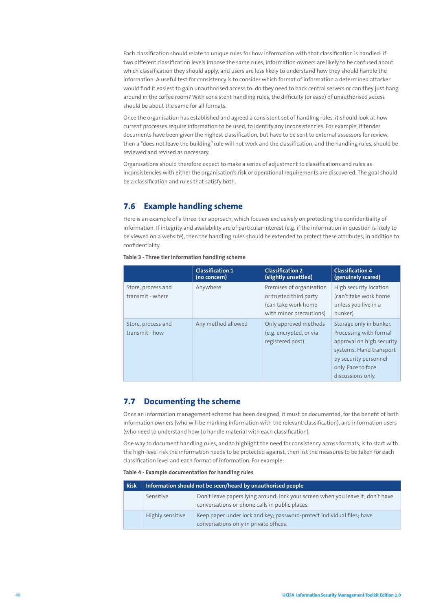Each classification should relate to unique rules for how information with that classification is handled: if two different classification levels impose the same rules, information owners are likely to be confused about which classification they should apply, and users are less likely to understand how they should handle the information. A useful test for consistency is to consider which format of information a determined attacker would find it easiest to gain unauthorised access to: do they need to hack central servers or can they just hang around in the coffee room? With consistent handling rules, the difficulty (or ease) of unauthorised access should be about the same for all formats.

Once the organisation has established and agreed a consistent set of handling rules, it should look at how current processes require information to be used, to identify any inconsistencies. For example, if tender documents have been given the highest classification, but have to be sent to external assessors for review, then a "does not leave the building" rule will not work and the classification, and the handling rules, should be reviewed and revised as necessary.

Organisations should therefore expect to make a series of adjustment to classifications and rules as inconsistencies with either the organisation's risk or operational requirements are discovered. The goal should be a classification and rules that satisfy both.

# **7.6 Example handling scheme**

Here is an example of a three-tier approach, which focuses exclusively on protecting the confidentiality of information. If integrity and availability are of particular interest (e.g. if the information in question is likely to be viewed on a website), then the handling rules should be extended to protect these attributes, in addition to confidentiality.

|                                        | <b>Classification 1</b><br>(no concern) | <b>Classification 2</b><br>(slightly unsettled)                                                      | <b>Classification 4</b><br>(genuinely scared)                                                                                                                                 |
|----------------------------------------|-----------------------------------------|------------------------------------------------------------------------------------------------------|-------------------------------------------------------------------------------------------------------------------------------------------------------------------------------|
| Store, process and<br>transmit - where | Anywhere                                | Premises of organisation<br>or trusted third party<br>(can take work home<br>with minor precautions) | High security location<br>(can't take work home<br>unless you live in a<br>bunker)                                                                                            |
| Store, process and<br>transmit - how   | Any method allowed                      | Only approved methods<br>(e.g. encrypted, or via<br>registered post)                                 | Storage only in bunker.<br>Processing with formal<br>approval on high security<br>systems. Hand transport<br>by security personnel<br>only. Face to face<br>discussions only. |

## **7.7 Documenting the scheme**

Once an information management scheme has been designed, it must be documented, for the benefit of both information owners (who will be marking information with the relevant classification), and information users (who need to understand how to handle material with each classification).

One way to document handling rules, and to highlight the need for consistency across formats, is to start with the high-level risk the information needs to be protected against, then list the measures to be taken for each classification level and each format of information. For example:

**Table 4 - Example documentation for handling rules**

| <b>Risk</b> | Information should not be seen/heard by unauthorised people |                                                                                                                                   |  |
|-------------|-------------------------------------------------------------|-----------------------------------------------------------------------------------------------------------------------------------|--|
|             | Sensitive                                                   | Don't leave papers lying around; lock your screen when you leave it; don't have<br>conversations or phone calls in public places. |  |
|             | Highly sensitive                                            | Keep paper under lock and key; password-protect individual files; have<br>conversations only in private offices.                  |  |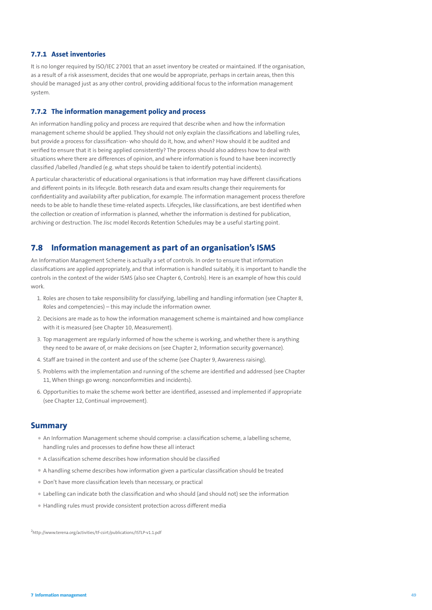### **7.7.1 Asset inventories**

It is no longer required by ISO/IEC 27001 that an asset inventory be created or maintained. If the organisation, as a result of a risk assessment, decides that one would be appropriate, perhaps in certain areas, then this should be managed just as any other control, providing additional focus to the information management system.

#### **7.7.2 The information management policy and process**

An information handling policy and process are required that describe when and how the information management scheme should be applied. They should not only explain the classifications and labelling rules, but provide a process for classification- who should do it, how, and when? How should it be audited and verified to ensure that it is being applied consistently? The process should also address how to deal with situations where there are differences of opinion, and where information is found to have been incorrectly classified /labelled /handled (e.g. what steps should be taken to identify potential incidents).

A particular characteristic of educational organisations is that information may have different classifications and different points in its lifecycle. Both research data and exam results change their requirements for confidentiality and availability after publication, for example. The information management process therefore needs to be able to handle these time-related aspects. Lifecycles, like classifications, are best identified when the collection or creation of information is planned, whether the information is destined for publication, archiving or destruction. The Jisc model Records Retention Schedules may be a useful starting point.

## **7.8 Information management as part of an organisation's ISMS**

An Information Management Scheme is actually a set of controls. In order to ensure that information classifications are applied appropriately, and that information is handled suitably, it is important to handle the controls in the context of the wider ISMS (also see Chapter 6, Controls). Here is an example of how this could work.

- 1. Roles are chosen to take responsibility for classifying, labelling and handling information (see Chapter 8, Roles and competencies) – this may include the information owner.
- 2. Decisions are made as to how the information management scheme is maintained and how compliance with it is measured (see Chapter 10, Measurement).
- 3. Top management are regularly informed of how the scheme is working, and whether there is anything they need to be aware of, or make decisions on (see Chapter 2, Information security governance).
- 4. Staff are trained in the content and use of the scheme (see Chapter 9, Awareness raising).
- 5. Problems with the implementation and running of the scheme are identified and addressed (see Chapter 11, When things go wrong: nonconformities and incidents).
- 6. Opportunities to make the scheme work better are identified, assessed and implemented if appropriate (see Chapter 12, Continual improvement).

## **Summary**

- An Information Management scheme should comprise: a classification scheme, a labelling scheme, handling rules and processes to define how these all interact
- A classification scheme describes how information should be classified
- A handling scheme describes how information given a particular classification should be treated
- Don't have more classification levels than necessary, or practical
- Labelling can indicate both the classification and who should (and should not) see the information
- Handling rules must provide consistent protection across different media

<sup>2</sup><http://www.terena.org/activities/tf-csirt/publications/ISTLP-v1.1.pdf>